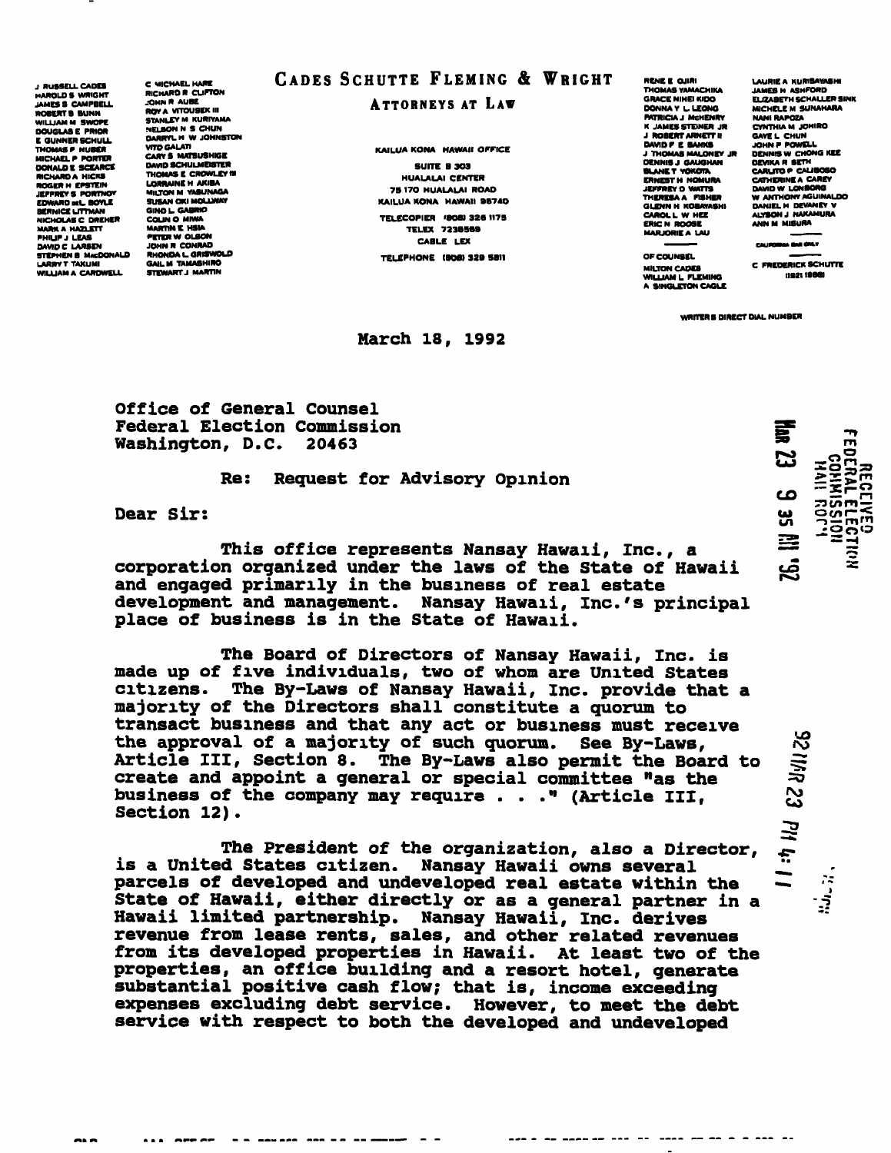**J BUSSELL CADES** HAROLDS WRIGHT JAMES S CAMPBELL ROBERTS BUNN WILLIAM M SWOPE E GUNNER SCHULL THOMAS P HUBCR MICHAEL P PORTER DONALD E SCEARCE RICHARD A HICKS ROGER H EPSTEIN EDWARD DlL. BOYLE SUSAN OKI MOLLWAY BERNICE UTTMAN OINO L. GABRIO NICHOLAS C DREHER COLIN O MIWA MAftHAHAZLETT MARTINI HWA PHIUPJ LEAS ...\_.. **PRILIP J LEAS FETER WOLSON<br>DAVID C LARSEN JOHN R CONRAD<br>STEPHEN B MACDONALD RHONDA L GRISWOLD** STEPHEN B MACDONALD WILLIAM A CARDWELL

C MICHAEL HARE RICHARD R CLIFTON JOHN R AUBE .<br>ROY A VITOUSEK III<br>STANLEY M KURIYAMA NELSON N S CHUN DARRYL M W JOHNSTON<br>VITO GALATI CARVS MATSUSHIGE DAVID SCHULMEBTER THOMAS E CROWLEY HI LORRAINE H AKIBA MILTON M VASUNAGA GAIL M TAMASHIRO<br>STEWART J MARTIN

# CADES SCHUTTE FLEMING & WRIGHT

### ATTORNEYS AT LAW

KAILUA KONA HAWAII OFFICE SUITE B 3O3 HUALALAI CENTER 79 17O HUALALAI ROAD KAILUA KONA HAWAII BS74O TELECOPIER '8081 326 1179 TELEX 723B5B9 CABLE LEX TELEPHONE (BOB) 329 SBII

#### March 18, 1992

RCNBE OJIRI THOMAS YAMACHIKA GRACE NIHEIKIDO DONNA Y L.LEONG PATRICIA I MCHENRY K JAMES STEINER JR J ROBERT ARNETT II DAVID P E BANKS J THOMAS MALONIV JR DENNIS J GAUGHAN BLANE T YOKOTA ERNEST H NOMURA<br>JEFFREY D WATTS<br>THERESA A FISHER GLENN H KOBAYASHI CAROL L W HEE ERIC N R009E MARJORIEA LAU

OF COUNSEL

MILTON CADES<br>WILLIAM L. FLEMING<br>A SINGLETON CAGLE

LAURIE A KURIBAWASI JAMES H ASMFORD ELIZABETH SCHALLER SINK MICHELC M SUNAHARA NANIRAPOZA CYNTHIA M JOHIRO GAVEL CHUN JOHN P POWELL DENNIS W CHONG KEE<br>DEVIKA R SETH<br>CARLITO P CALIBOSO CATHERINE A CAREY DAVID WLONBORO W ANTHONY AOUINALDO DANIEL H DEWANEY V ALYSON J NAKAMURA<br>ANN M MISURA

CALIFORNIA BAR GIRLY

C FREDERICK SCHUTTE ii 921 1980)

WRITERS DIRECT DIAL NUMBER

Office of General Counsel Federal Election Commission<br>Washington, D.C. 20463 Washington, D.C.

### Re: Request for Advisory Opinion

Dear Sir:

This office represents Nansay Hawaii, Inc., a corporation organized under the laws of the State of Hawaii and engaged primarily in the business of real estate development and management. Nansay Hawaii, Inc.'s principal place of business is in the State of Hawaii.

The Board of Directors of Nansay Hawaii, Inc. is made up of five individuals, two of whom are United States citizens. The By-Laws of Nansay Hawaii, Inc. provide that a majority of the Directors shall constitute a quorum to transact business and that any act or business must receive the approval of a majority of such quorum. See By-Laws, Article III, Section 8. The By-Laws also permit the Board to create and appoint a general or special committee "as the business of the company may require ..." (Article III, Section 12).

The President of the organization, also a Director, is a United States citizen. Nansay Hawaii owns several parcels of developed and undeveloped real estate within the State of Hawaii, either directly or as a general partner in a Hawaii limited partnership. Nansay Hawaii, Inc. derives revenue from lease rents, sales, and other related revenues from its developed properties in Hawaii. At least two of the properties, an office building and a resort hotel, generate substantial positive cash flow; that is, income exceeding expenses excluding debt service. However, to meet the debt service with respect to both the developed and undeveloped

哥 m IIVH<br>TNH03<br>TVVJJ0:<br>JJJJV ご CO **1.303**<br>33S33<br>33T3<br>33AI3 ui en Ř <u>ہم</u>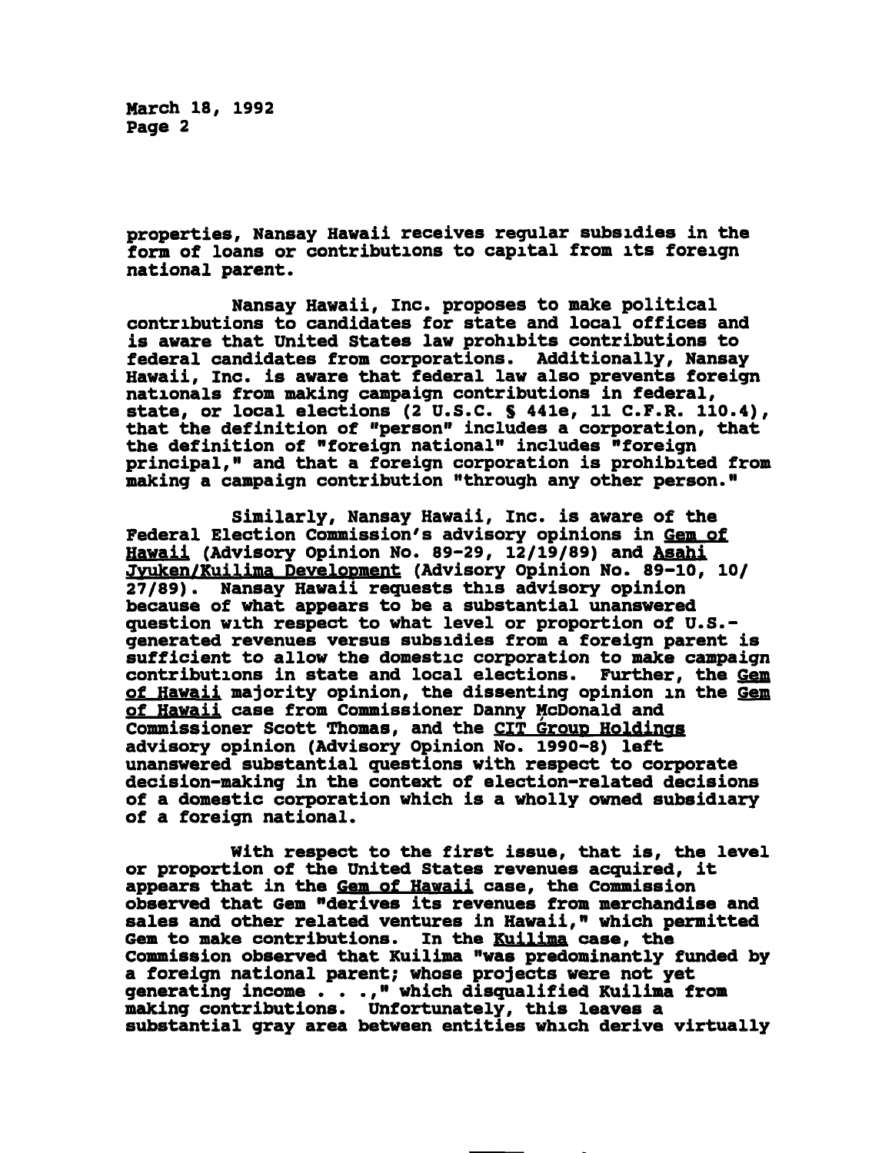March 18, 1992 Page 2

properties, Nansay Hawaii receives regular subsidies in the form of loans or contributions to capital from its foreign national parent.

Nansay Hawaii, Inc. proposes to make political contributions to candidates for state and local offices and is aware that United States law prohibits contributions to federal candidates from corporations. Additionally, Nansay Hawaii, Inc. is aware that federal law also prevents foreign nationals from making campaign contributions in federal, state, or local elections (2 U.S.C. § 441e, 11 C.F.R. 110.4), that the definition of "person" includes a corporation, that the definition of "foreign national" includes "foreign principal," and that a foreign corporation is prohibited from making a campaign contribution "through any other person."

Similarly, Nansay Hawaii, Inc. is aware of the Federal Election Commission's advisory opinions in Gem of Hawaii (Advisory Opinion No. 89-29, 12/19/89) and Asahi Jyuken/Kuilima Development (Advisory Opinion No. 89-10, 10/ 27/89). Nansay Hawaii requests this advisory opinion because of what appears to be a substantial unanswered question with respect to what level or proportion of U.S. generated revenues versus subsidies from a foreign parent is sufficient to allow the domestic corporation to make campaign contributions in state and local elections. Further, the Gem of Hawaii majority opinion, the dissenting opinion in the Gem of Hawaii case from Commissioner Danny McDonald and Commissioner Scott Thomas, and the CIT Group Holdings advisory opinion (Advisory Opinion No. 1990-8) left unanswered substantial questions with respect to corporate decision-making in the context of election-related decisions of a domestic corporation which is a wholly owned subsidiary of a foreign national.

With respect to the first issue, that is, the level or proportion of the United States revenues acquired, it appears that in the Gem of Hawaii case, the Commission observed that Gem "derives its revenues from merchandise and sales and other related ventures in Hawaii," which permitted Gem to make contributions. In the Kuilima case, the Commission observed that Kuilima "was predominantly funded by a foreign national parent; whose projects were not yet generating income . . .," which disqualified Kuilima from making contributions. Unfortunately, this leaves a substantial gray area between entities which derive virtually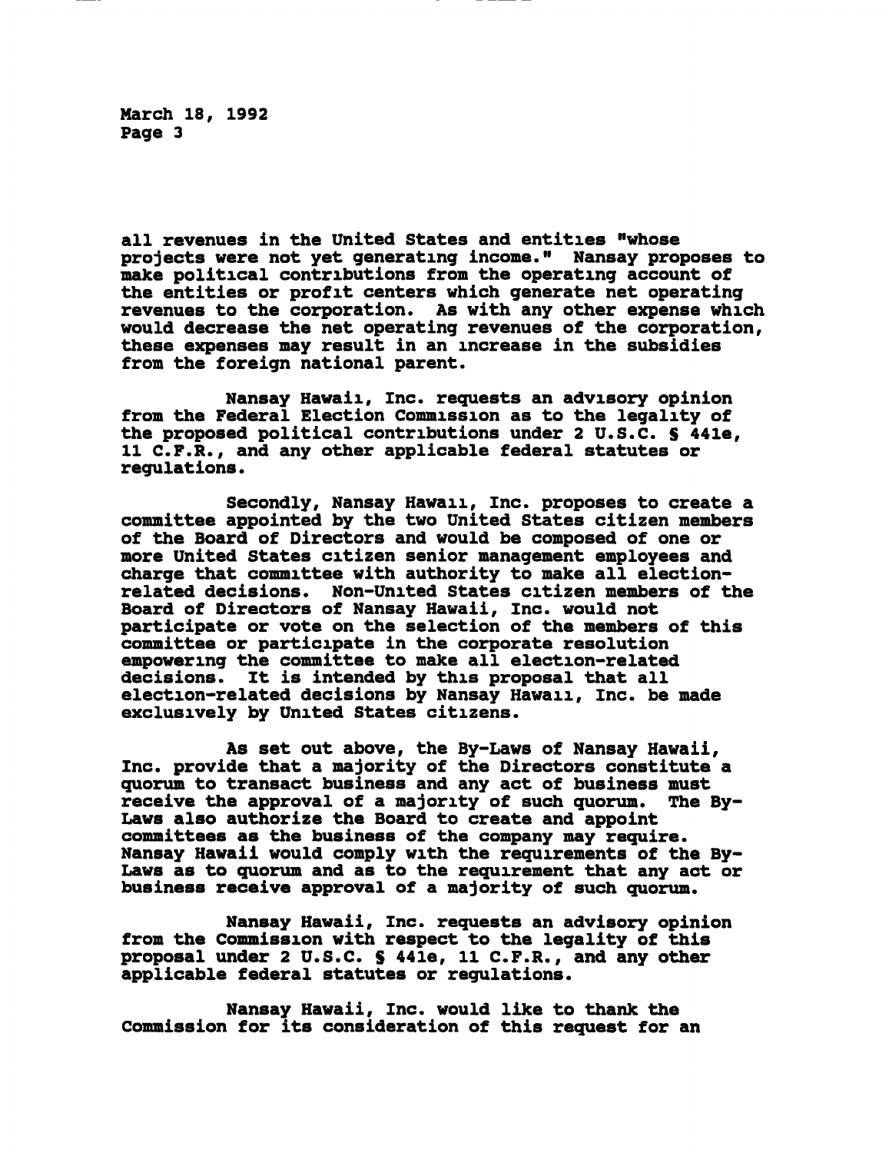March 18, 1992 Page 3

all revenues in the United States and entities "whose projects were not yet generating income." Nansay proposes to make political contributions from the operating account of the entities or profit centers which generate net operating revenues to the corporation. As with any other expense which would decrease the net operating revenues of the corporation, these expenses may result in an increase in the subsidies from the foreign national parent.

Nansay Hawaii, Inc. requests an advisory opinion from the Federal Election Commission as to the legality of the proposed political contributions under 2 U.S.C. S 441e, 11 C.F.R., and any other applicable federal statutes or regulations.

Secondly, Nansay Hawaii, Inc. proposes to create a committee appointed by the two United States citizen members of the Board of Directors and would be composed of one or more United States citizen senior management employees and charge that committee with authority to make all electionrelated decisions. Non-United States citizen members of the Board of Directors of Nansay Hawaii, Inc. would not participate or vote on the selection of the members of this committee or participate in the corporate resolution empowering the committee to make all election-related<br>decisions. It is intended by this proposal that all It is intended by this proposal that all election-related decisions by Nansay Hawaii, Inc. be made exclusively by United States citizens.

As set out above, the By-Laws of Nansay Hawaii, Inc. provide that a majority of the Directors constitute a quorum to transact business and any act of business must receive the approval of a majority of such quorum. The By-Laws also authorize the Board to create and appoint committees as the business of the company may require. Nansay Hawaii would comply with the requirements of the By-Laws as to quorum and as to the requirement that any act or business receive approval of a majority of such quorum.

Nansay Hawaii, Inc. requests an advisory opinion from the Commission with respect to the legality of this proposal under 2 U.S.C. S 44le, 11 C.F.R., and any other applicable federal statutes or regulations.

Nansay Hawaii, Inc. would like to thank the Commission for its consideration of this request for an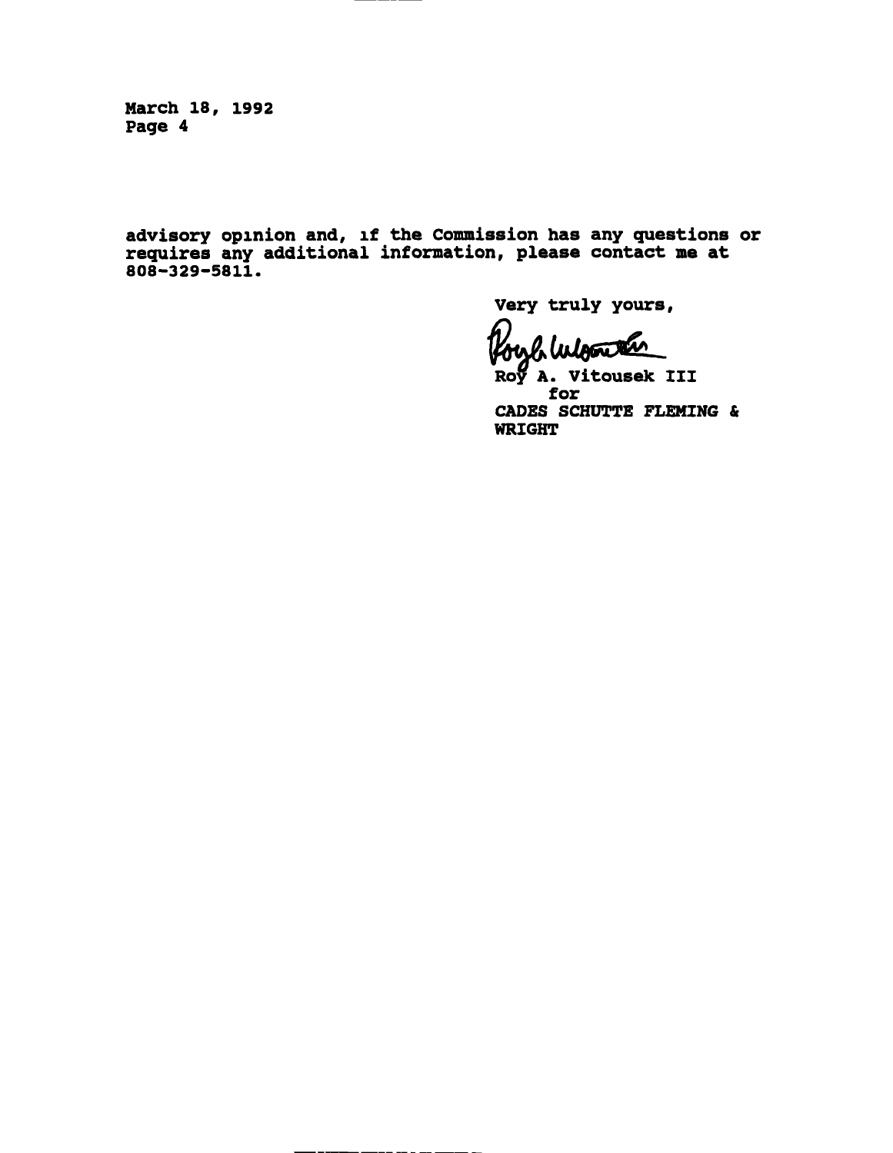March 18, 1992 Page 4

advisory opinion and, if the Commission has any questions or requires any additional information, please contact me at 808-329-5811.

Very truly yours,

Roy A. Vitousek III for CADES SCHUTTE FLEMING & WRIGHT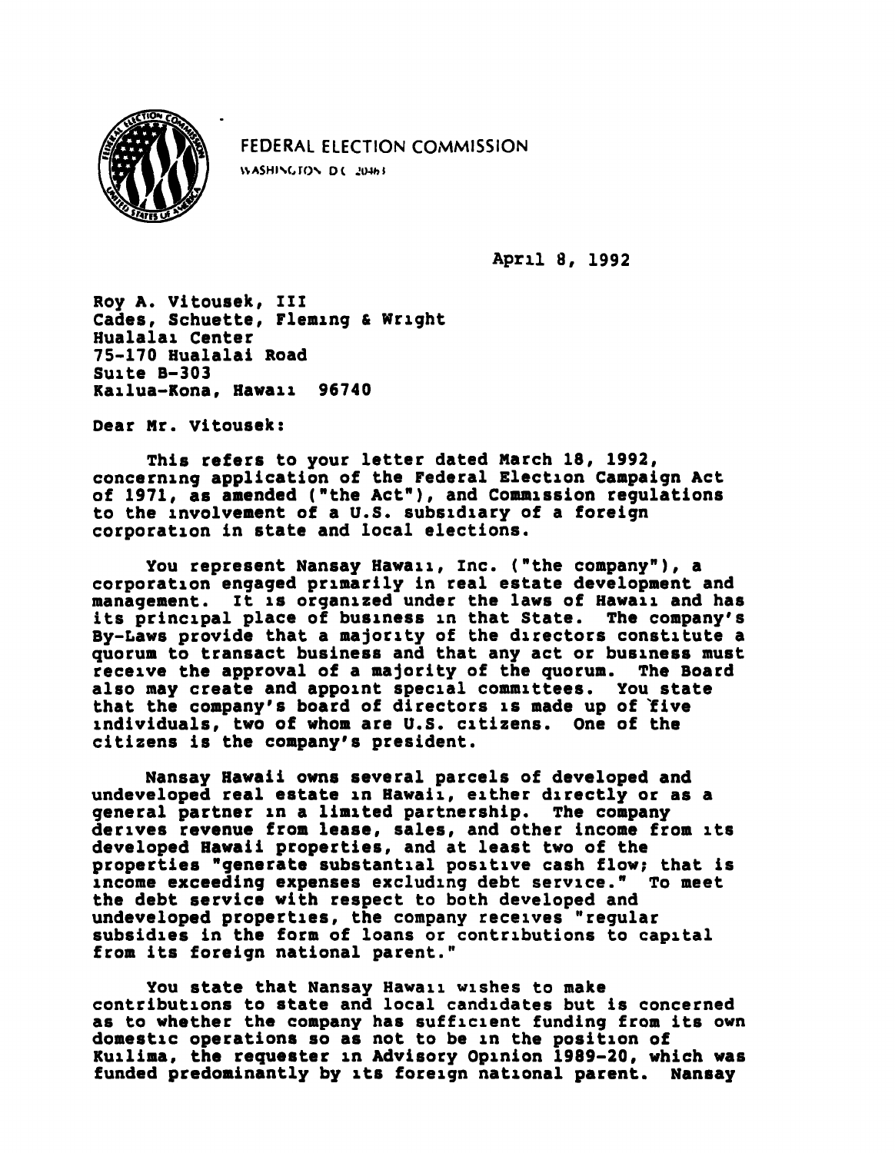

FEDERAL ELECTION COMMISSION WASHINGTON D.C. 20463

April 8, 1992

Roy A. Vitousek, III Cades, Schuette, Fleming & Wright Hualalai Center 75-170 Hualalai Road Suite B-303 Kailua-Kona, Hawaii 96740

Dear Mr. Vitousek:

This refers to your letter dated March 18, 1992, concerning application of the Federal Election Campaign Act of 1971, as amended ("the Act"), and Commission regulations to the involvement of a U.S. subsidiary of a foreign corporation in state and local elections.

You represent Nansay Hawaii, inc. ("the company"), a corporation engaged primarily in real estate development and management. It is organized under the laws of Hawaii and has its principal place of business in that State. The company's By-Laws provide that a majority of the directors constitute a quorum to transact business and that any act or business must<br>receive the approval of a majority of the quorum. The Board receive the approval of a majority of the quorum. also may create and appoint special committees. You state that the company's board of directors is made up of five individuals, two of whom are U.S. citizens. One of the citizens is the company's president.

Nansay Hawaii owns several parcels of developed and undeveloped real estate in Hawaii, either directly or as a general partner in a limited partnership. The company derives revenue from lease, sales, and other income from its developed Hawaii properties, and at least two of the properties "generate substantial positive cash flow; that is income exceeding expenses excluding debt service." To meet the debt service with respect to both developed and undeveloped properties, the company receives "regular subsidies in the form of loans or contributions to capital from its foreign national parent."

You state that Nansay Hawaii wishes to make contributions to state and local candidates but is concerned as to whether the company has sufficient funding from its own domestic operations so as not to be in the position of Kuilima, the requester in Advisory Opinion 1989-20, which was funded predominantly by its foreign national parent. Nansay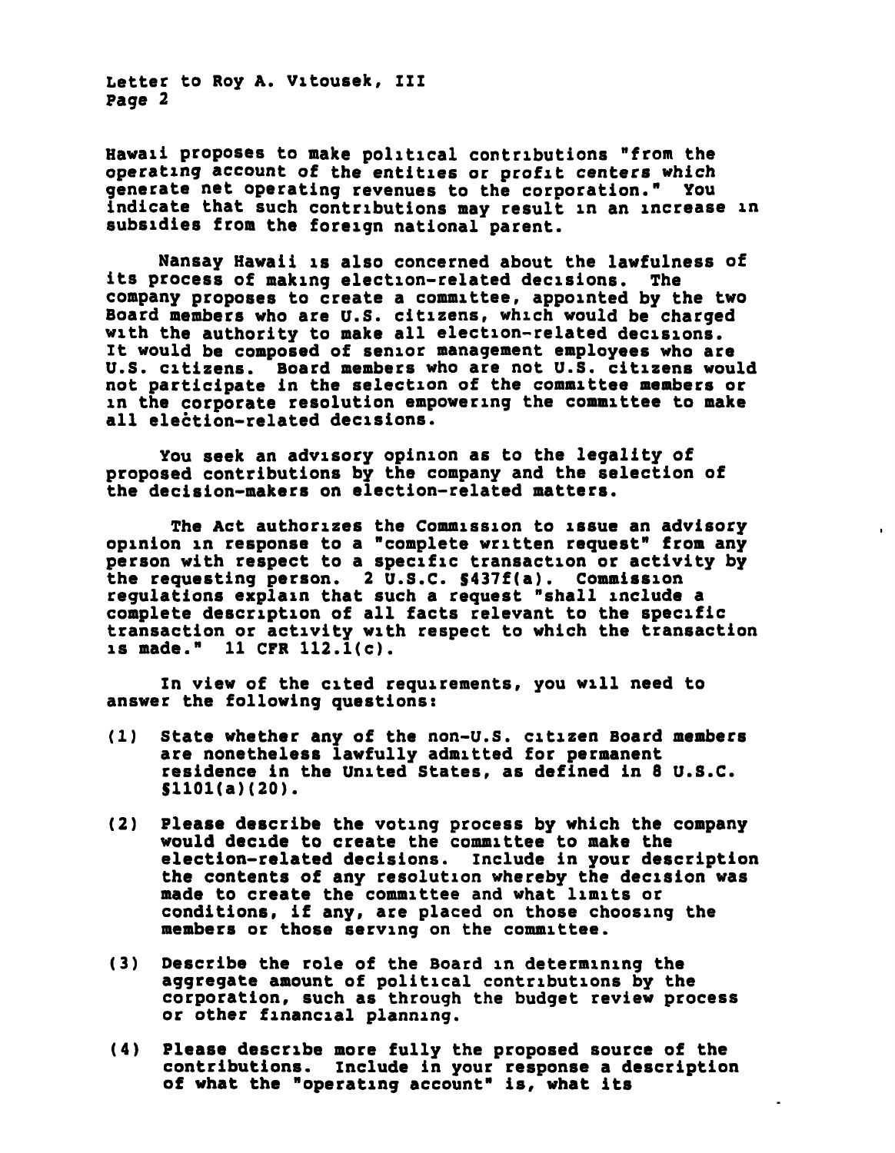Letter to Roy A. Vitousek, III Page 2

Hawaii proposes to make political contributions "from the operating account of the entities or profit centers which generate net operating revenues to the corporation." You indicate that such contributions may result in an increase in subsidies from the foreign national parent.

Nansay Hawaii is also concerned about the lawfulness of its process of making election-related decisions. The company proposes to create a committee, appointed by the two Board members who are U.S. citizens, which would be charged with the authority to make all election-related decisions. It would be composed of senior management employees who are U.S. citizens. Board members who are not U.S. citizens would not participate in the selection of the committee members or in the corporate resolution empowering the committee to make all election-related decisions.

You seek an advisory opinion as to the legality of proposed contributions by the company and the selection of the decision-makers on election-related matters.

The Act authorizes the Commission to issue an advisory opinion in response to a "complete written request" from any person with respect to a specific transaction or activity by the requesting person. 2 U.S.C. S437f(a). Commission regulations explain that such a request "shall include a complete description of all facts relevant to the specific transaction or activity with respect to which the transaction is made." 11 CFR 112.l(c).

In view of the cited requirements, you will need to answer the following questions:

- (1) State whether any of the non-U.S. citizen Board members are nonetheless lawfully admitted for permanent residence in the United States, as defined in 8 U.S.C. S1101(a)(20).
- (2) Please describe the voting process by which the company would decide to create the committee to make the election-related decisions. Include in your description the contents of any resolution whereby the decision was made to create the committee and what limits or conditions, if any, are placed on those choosing the members or those serving on the committee.
- (3) Describe the role of the Board in determining the aggregate amount of political contributions by the corporation, such as through the budget review process or other financial planning.
- (4) Please describe more fully the proposed source of the contributions. Include in your response a description of what the "operating account" is, what its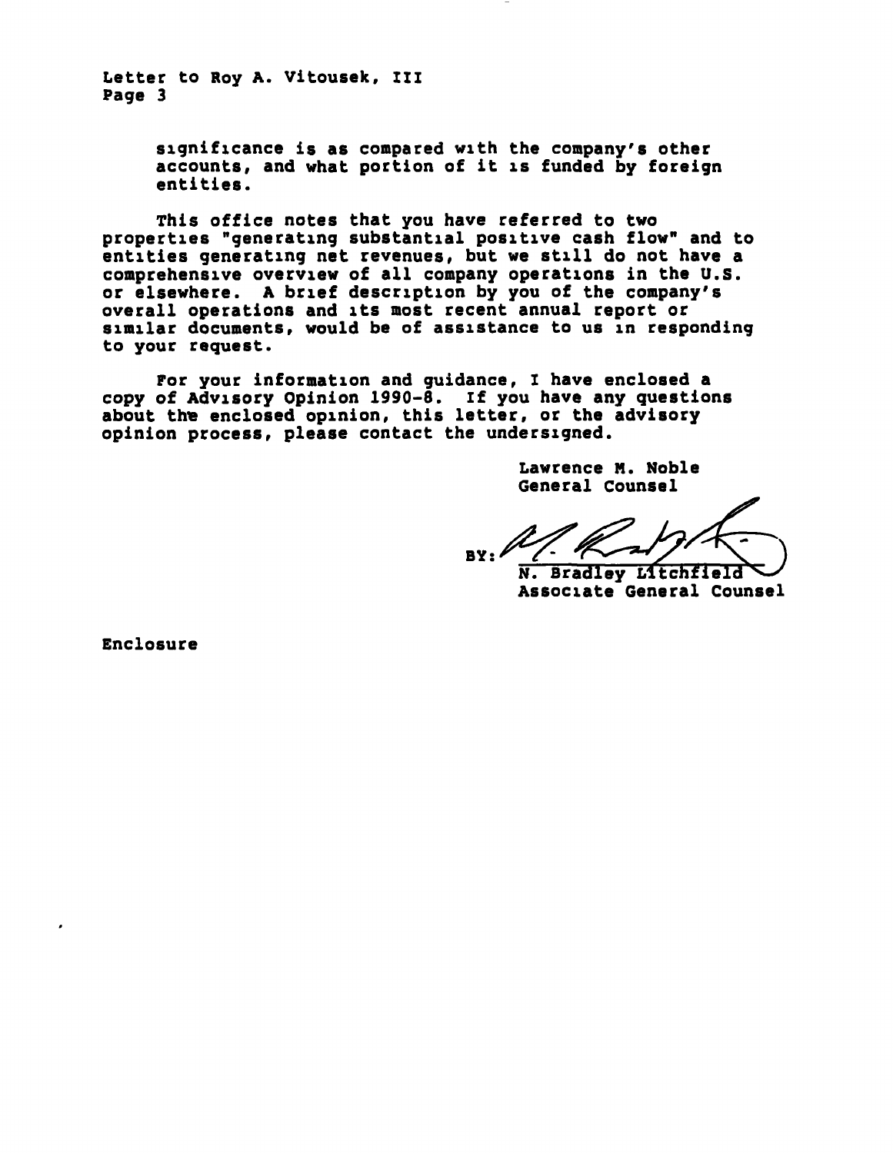Letter to Roy A. Vitousek, III Page 3

> significance is as compared with the company's other accounts, and what portion of it is funded by foreign entities.

This office notes that you have referred to two properties "generating substantial positive cash flow" and to entities generating net revenues, but we still do not have a comprehensive overview of all company operations in the U.S. or elsewhere. A brief description by you of the company's overall operations and its most recent annual report or similar documents, would be of assistance to us in responding to your request.

For your information and guidance, I have enclosed a copy of Advisory Opinion 1990-8. If you have any questions about the enclosed opinion, this letter, or the advisory opinion process, please contact the undersigned.

> Lawrence H. Noble General Counsel

 $BY:$ 

N. Bradley Lltchfield Associate General Counsel

Enclosure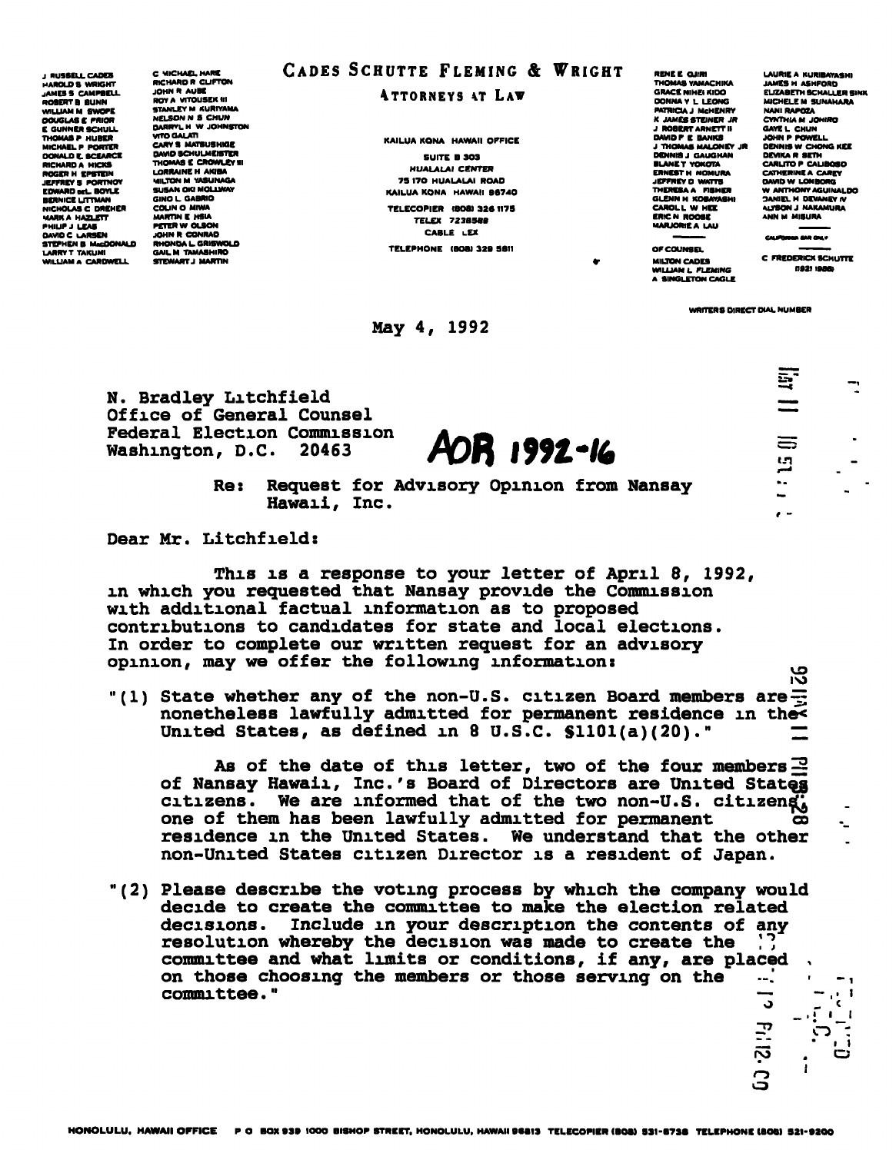J KUSSELL CADES HAROLDS WRIGHT JAMES S CAMPBELL **VILLIAM M SWOPE** DOUGLAS E PRIOR E GUNN**ER SCHULL**<br>Thomas P Huber<br>Michael P Porter DONALD E. BCEARCE RICHARD A' HICKS<br>ROGER H' <mark>EPSTE</mark>IN **JEFFREY S PORTNOY** BERNICE LITTMA NICHOLAS C DREHER MARK A HAZLETT PHILIP J LEAS DAVID C LARSEN STEPHEN B HbcOONALD LARRY T TAKLIMI WILLIAM A CARDWELL

C MICHAEL HARE RICHARD R CLIFTON JOHN R AUBC ROY A WrOUSEKIII STANLEY M KURIYAMA NELSON N S CHUN OARRVL H W JOHNSTON VrTDOALATI DAVID SCHULMEISTER<br>THOMAS E CROWLEY III LORRAINE H AKIBA **MILTON M YASUNAGA** OINO L GABRIO COLIN o MIWA MARTIN E HSIA PETER W OLSON **RHONDA L. GRISWOLD** GAILM TAMABHIRO STEWART J MARTIN

## CADES SCHUTTE FLEMING & WRIGHT

ATTORNEYS AT LAW

KAILUA KONA HAWAII OFFICE SUITE B 3O3 HUALALAI CENTER 75 I7O HUALALAI ROAD KAILUA KONA HAWAII BS74O TELECOPIER (BOS) 326 1179 TELEX 7238589 CABLE LEX TELEPHONE (BOB) 329 5811

May 4, 1992

RENE E OJIRI THOMAS VAMACHIKA GRACE NIHEIKIOO DONNAV L LEONC PATRICK J McHENRV K JAMES STEINER JR J ROBERT ARNETTII DAVID P E BANKS J THOMAS MALONEV Jl DENNIS J GAUGHAN BLANE T YOKOTA<br>ERNEST H NOMU<br>JEFFREY D WATTI GLENN H KOBAYASHI CAROL L W HEE ERICH ROOK MARJORIEA LAU OF COUNSEL

LAURIE A KURIBAYASHI<br>IAM<sup>ara</sup> hi arheada JAMES H ASHFORO ELIZABETH SCHALLER SINK MICHELE M SUNAHARA NANI BARATA CYNTHIA M JOHIRO GAYEL CHUN JOHN P POWELL DENNIS W CHONG KEE DEVIKA R SETH CARUTOP CAUBOSO CATHERINE A CAREY W ANTHONY A 3ANIELH DEVANEYIV 4UTSONJ NAKAMURA ANN M MISURA

MILTON CADES WILLIAM L FLEMING

C FREDERICK SCHUTTE

**10 st :** 

 $\bullet$   $\bullet$ 

9.

r\»

ن<br>ت

WRITERS DIRECT DIAL NUMBER

N. Bradley Litchfield Office of General Counsel Federal Election Commission Washington, D.C. 20463 **AOR 1992-16** 

Re: Request for Advisory Opinion from Nansay Hawaii, Inc.

Dear Mr. Litchfield:

This is a response to your letter of April 8, 1992, in which you requested that Nansay provide the Commission with additional factual information as to proposed contributions to candidates for state and local elections. In order to complete our written request for an advisory opinion, may we offer the following information:

"(1) State whether any of the non-U.S. citizen Board members are $\Xi$ nonetheless lawfully admitted for permanent residence in the< United States, as defined in 8 U.S.C.  $$1101(a)(20)$ ."

As of the date of this letter, two of the four members  $\mathbb{E}$ of Nansay Hawaii, Inc.'s Board of Directors are United States citizens. We are informed that of the two non-U.S. citizeng, one of them has been lawfully admitted for permanent residence in the United States. We understand that the other non-United States citizen Director is a resident of Japan.

(2) Please describe the voting process by which the company would decide to create the committee to make the election related decisions. Include in your description the contents of any resolution whereby the decision was made to create the committee and what limits or conditions, if any, are placed on those choosing the members or those serving on the  $-$ . on those choosing the members or those serving on the  $-$ .  $$ committee." — - , • « o \_ « \_,<sup>i</sup>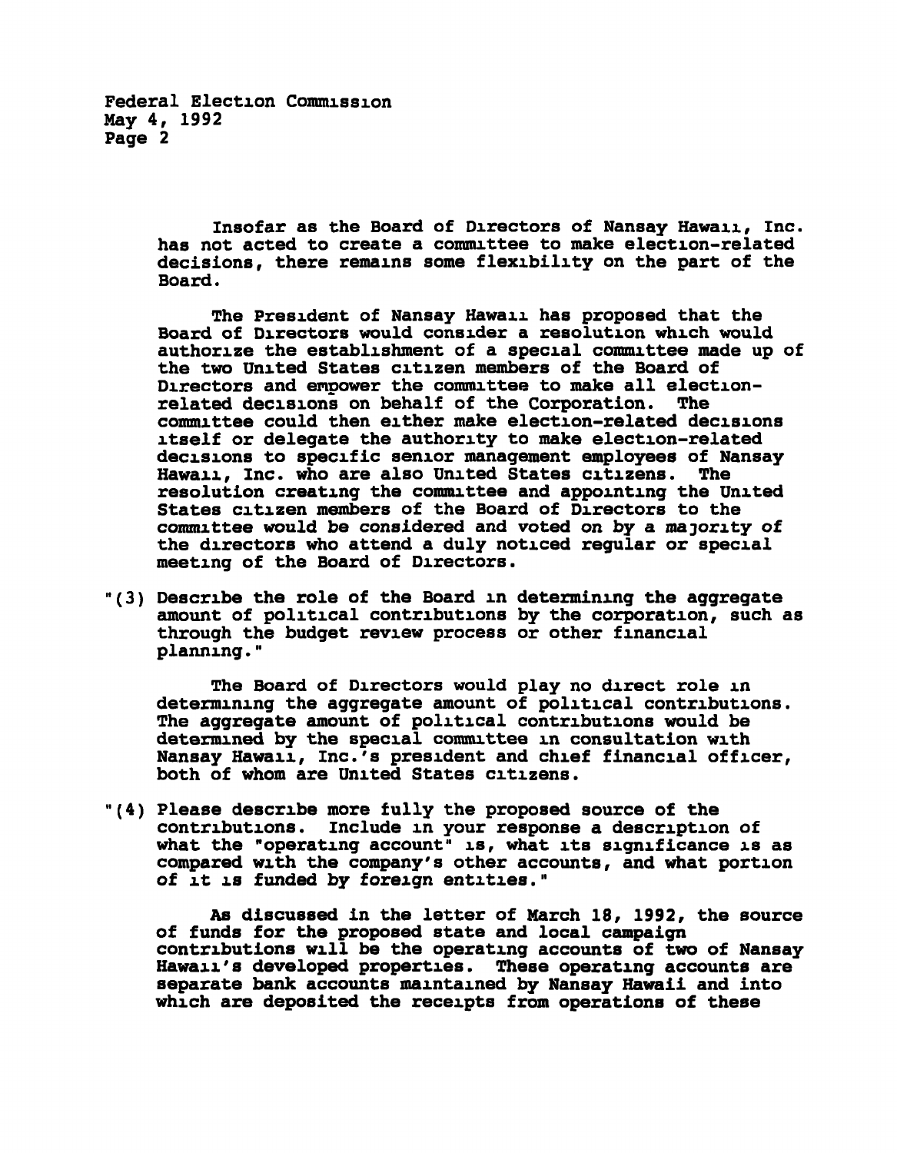Federal Election Commission May 4, 1992 Page 2

> Insofar as the Board of Directors of Nansay Hawaii, Inc. has not acted to create a committee to make election-related decisions, there remains some flexibility on the part of the Board.

> The President of Nansay Hawaii has proposed that the Board of Directors would consider a resolution which would authorize the establishment of a special committee made up of the two United States citizen members of the Board of Directors and empower the committee to make all election-<br>related decisions on behalf of the Corporation. The related decisions on behalf of the Corporation. committee could then either make election-related decisions itself or delegate the authority to make election-related decisions to specific senior management employees of Nansay Hawaii, Inc. who are also United States citizens. The resolution creating the committee and appointing the United States citizen members of the Board of Directors to the committee would be considered and voted on by a majority of the directors who attend a duly noticed regular or special meeting of the Board of Directors.

"(3) Describe the role of the Board in determining the aggregate amount of political contributions by the corporation, such as through the budget review process or other financial planning."

The Board of Directors would play no direct role in determining the aggregate amount of political contributions. The aggregate amount of political contributions would be determined by the special committee in consultation with Nansay Hawaii, Inc.'s president and chief financial officer, both of whom are United States citizens.

"(4) Please describe more fully the proposed source of the contributions. Include in your response a description of what the "operating account" is, what its significance is as compared with the company's other accounts, and what portion of it is funded by foreign entities."

As discussed in the letter of March 18, 1992, the source of funds for the proposed state and local campaign contributions will be the operating accounts of two of Nansay Hawaii's developed properties. These operating accounts are separate bank accounts maintained by Nansay Hawaii and into which are deposited the receipts from operations of these